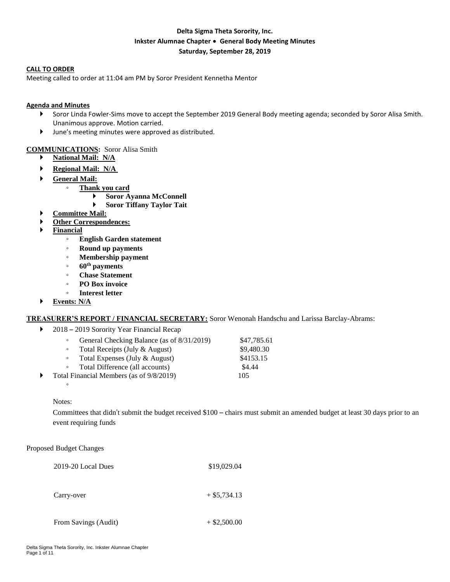### **Delta Sigma Theta Sorority, Inc. Inkster Alumnae Chapter** ∙ **General Body Meeting Minutes Saturday, September 28, 2019**

#### **CALL TO ORDER**

Meeting called to order at 11:04 am PM by Soror President Kennetha Mentor

#### **Agenda and Minutes**

- Soror Linda Fowler-Sims move to accept the September 2019 General Body meeting agenda; seconded by Soror Alisa Smith. Unanimous approve. Motion carried.
- June's meeting minutes were approved as distributed.

#### **COMMUNICATIONS:** Soror Alisa Smith

- **National Mail: N/A**
- **Regional Mail: N/A**
- **General Mail:** 
	- **Thank you card**
		- **Soror Ayanna McConnell**
			- **Soror Tiffany Taylor Tait**
- **Committee Mail:**
- **Other Correspondences:**
- **Financial**
	- **English Garden statement**
	- **Round up payments**
	- **Membership payment**
	- **60th payments**
	- **Chase Statement**
	- **PO Box invoice**
	- **Interest letter**
- **Events: N/A**

#### **TREASURER'S REPORT / FINANCIAL SECRETARY:** Soror Wenonah Handschu and Larissa Barclay-Abrams:

#### ▶ 2018 – 2019 Sorority Year Financial Recap

|   | General Checking Balance (as of 8/31/2019)<br>$\circ$ |                                 | \$47,785.61 |
|---|-------------------------------------------------------|---------------------------------|-------------|
|   |                                                       | Total Receipts (July & August)  | \$9,480.30  |
|   | $\circ$                                               | Total Expenses (July & August)  | \$4153.15   |
|   | $\circ$                                               | Total Difference (all accounts) | \$4.44      |
| ▶ | Total Financial Members (as of 9/8/2019)              |                                 | 105         |

#### Notes:

◦

Committees that didn't submit the budget received \$100 – chairs must submit an amended budget at least 30 days prior to an event requiring funds

Proposed Budget Changes

| 2019-20 Local Dues   | \$19,029.04    |
|----------------------|----------------|
| Carry-over           | $+$ \$5,734.13 |
| From Savings (Audit) | $+$ \$2,500.00 |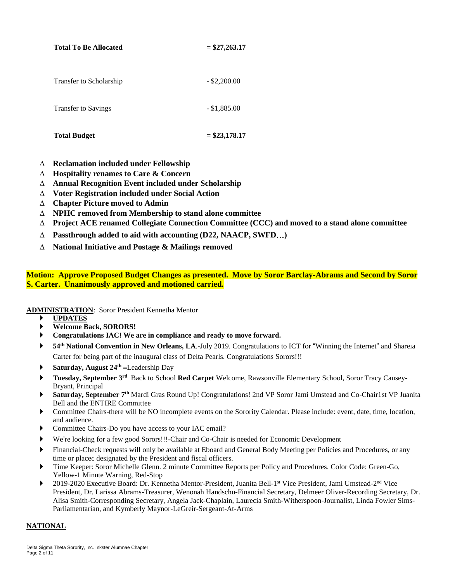| <b>Total To Be Allocated</b> | $=$ \$27,263.17 |
|------------------------------|-----------------|
| Transfer to Scholarship      | $-$ \$2,200.00  |
| <b>Transfer to Savings</b>   | $-$ \$1,885.00  |
| <b>Total Budget</b>          | $=$ \$23,178.17 |

## **Reclamation included under Fellowship**

- **Hospitality renames to Care & Concern**
- **Annual Recognition Event included under Scholarship**
- **Voter Registration included under Social Action**
- **Chapter Picture moved to Admin**
- **NPHC removed from Membership to stand alone committee**
- **Project ACE renamed Collegiate Connection Committee (CCC) and moved to a stand alone committee**
- **Passthrough added to aid with accounting (D22, NAACP, SWFD**…**)**
- **National Initiative and Postage & Mailings removed**

### **Motion: Approve Proposed Budget Changes as presented. Move by Soror Barclay-Abrams and Second by Soror S. Carter. Unanimously approved and motioned carried.**

**ADMINISTRATION**: Soror President Kennetha Mentor

- **UPDATES**
- **Welcome Back, SORORS!**
- **Congratulations IAC! We are in compliance and ready to move forward.**
- **54th National Convention in New Orleans, LA**.-July 2019. Congratulations to ICT for "Winning the Internet" and Shareia Carter for being part of the inaugural class of Delta Pearls. Congratulations Sorors!!!
- **Saturday, August 24th** –Leadership Day
- **Tuesday, September 3 rd** Back to School **Red Carpet** Welcome, Rawsonville Elementary School, Soror Tracy Causey-Bryant, Principal
- **Saturday, September 7 th** Mardi Gras Round Up! Congratulations! 2nd VP Soror Jami Umstead and Co-Chair1st VP Juanita Bell and the ENTIRE Committee
- Committee Chairs-there will be NO incomplete events on the Sorority Calendar. Please include: event, date, time, location, and audience.
- Committee Chairs-Do you have access to your IAC email?
- We're looking for a few good Sorors!!!-Chair and Co-Chair is needed for Economic Development
- Financial-Check requests will only be available at Eboard and General Body Meeting per Policies and Procedures, or any time or placec designated by the President and fiscal officers.
- Time Keeper: Soror Michelle Glenn. 2 minute Committee Reports per Policy and Procedures. Color Code: Green-Go, Yellow-1 Minute Warning, Red-Stop
- ▶ 2019-2020 Executive Board: Dr. Kennetha Mentor-President, Juanita Bell-1<sup>st</sup> Vice President, Jami Umstead-2<sup>nd</sup> Vice President, Dr. Larissa Abrams-Treasurer, Wenonah Handschu-Financial Secretary, Delmeer Oliver-Recording Secretary, Dr. Alisa Smith-Corresponding Secretary, Angela Jack-Chaplain, Laurecia Smith-Witherspoon-Journalist, Linda Fowler Sims-Parliamentarian, and Kymberly Maynor-LeGreir-Sergeant-At-Arms

#### **NATIONAL**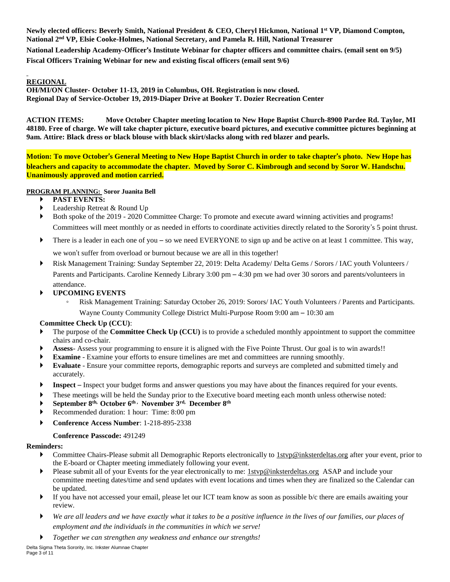Newly elected officers: Beverly Smith, National President & CEO, Cheryl Hickmon, National 1st VP, Diamond Compton, **National 2 nd VP, Elsie Cooke-Holmes, National Secretary, and Pamela R. Hill, National Treasurer**

National Leadership Academy-Officer's Institute Webinar for chapter officers and committee chairs. (email sent on 9/5) **Fiscal Officers Training Webinar for new and existing fiscal officers (email sent 9/6)**

### **REGIONAL**

**OH/MI/ON Cluster- October 11-13, 2019 in Columbus, OH. Registration is now closed. Regional Day of Service-October 19, 2019-Diaper Drive at Booker T. Dozier Recreation Center**

**ACTION ITEMS: Move October Chapter meeting location to New Hope Baptist Church-8900 Pardee Rd. Taylor, MI** 48180. Free of charge. We will take chapter picture, executive board pictures, and executive committee pictures beginning at **9am. Attire: Black dress or black blouse with black skirt/slacks along with red blazer and pearls.**

Motion: To move October's General Meeting to New Hope Baptist Church in order to take chapter's photo. New Hope has bleachers and capacity to accommodate the chapter. Moved by Soror C. Kimbrough and second by Soror W. Handschu. **Unanimously approved and motion carried.** 

### **PROGRAM PLANNING: Soror Juanita Bell**

- **PAST EVENTS:**
- **Leadership Retreat & Round Up**
- Both spoke of the 2019 2020 Committee Charge: To promote and execute award winning activities and programs! Committees will meet monthly or as needed in efforts to coordinate activities directly related to the Sorority's 5 point thrust.
- There is a leader in each one of you so we need EVERYONE to sign up and be active on at least 1 committee. This way,

we won't suffer from overload or burnout because we are all in this together!

 Risk Management Training: Sunday September 22, 2019: Delta Academy/ Delta Gems / Sorors / IAC youth Volunteers / Parents and Participants. Caroline Kennedy Library 3:00 pm – 4:30 pm we had over 30 sorors and parents/volunteers in attendance.

### **UPCOMING EVENTS**

Risk Management Training: Saturday October 26, 2019: Sorors/ IAC Youth Volunteers / Parents and Participants. Wayne County Community College District Multi-Purpose Room 9:00 am – 10:30 am

### **Committee Check Up (CCU)**:

- The purpose of the **Committee Check Up (CCU)** is to provide a scheduled monthly appointment to support the committee chairs and co-chair.
- **Assess** Assess your programming to ensure it is aligned with the Five Pointe Thrust. Our goal is to win awards!!
- **Examine**  Examine your efforts to ensure timelines are met and committees are running smoothly.
- **Evaluate** Ensure your committee reports, demographic reports and surveys are completed and submitted timely and accurately.
- **Inspect** Inspect your budget forms and answer questions you may have about the finances required for your events.
- These meetings will be held the Sunday prior to the Executive board meeting each month unless otherwise noted:
- **September 8th, October 6th , November 3rd, December 8th**
- Recommended duration: 1 hour: Time: 8:00 pm
- **Conference Access Number**: 1-218-895-2338

### **Conference Passcode:** 491249

#### **Reminders:**

- ▶ Committee Chairs-Please submit all Demographic Reports electronically to 1styp@inksterdeltas.org after your event, prior to the E-board or Chapter meeting immediately following your event.
- Please submit all of your Events for the year electronically to me: 1stvp@inksterdeltas.org ASAP and include your committee meeting dates/time and send updates with event locations and times when they are finalized so the Calendar can be updated.
- If you have not accessed your email, please let our ICT team know as soon as possible b/c there are emails awaiting your review.
- *We are all leaders and we have exactly what it takes to be a positive influence in the lives of our families, our places of employment and the individuals in the communities in which we serve!*
- *Together we can strengthen any weakness and enhance our strengths!*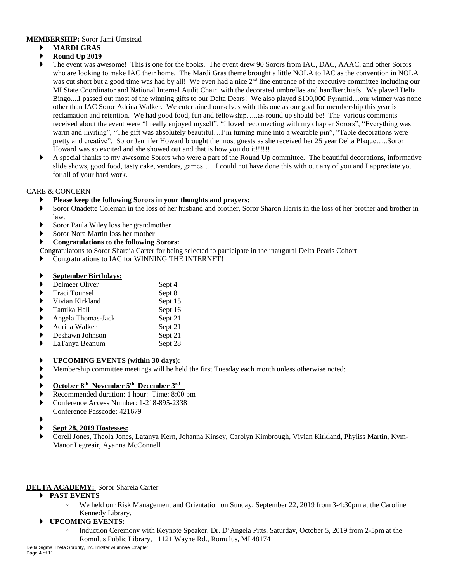#### **MEMBERSHIP:** Soror Jami Umstead

- **MARDI GRAS**
- **Round Up 2019**
- The event was awesome! This is one for the books. The event drew 90 Sorors from IAC, DAC, AAAC, and other Sorors who are looking to make IAC their home. The Mardi Gras theme brought a little NOLA to IAC as the convention in NOLA was cut short but a good time was had by all! We even had a nice 2<sup>nd</sup> line entrance of the executive committee including our MI State Coordinator and National Internal Audit Chair with the decorated umbrellas and handkerchiefs. We played Delta Bingo....I passed out most of the winning gifts to our Delta Dears! We also played \$100,000 Pyramid…our winner was none other than IAC Soror Adrina Walker. We entertained ourselves with this one as our goal for membership this year is reclamation and retention. We had good food, fun and fellowship…..as round up should be! The various comments received about the event were "I really enjoyed myself", "I loved reconnecting with my chapter Sorors", "Everything was warm and inviting", "The gift was absolutely beautiful...I'm turning mine into a wearable pin", "Table decorations were pretty and creative". Soror Jennifer Howard brought the most guests as she received her 25 year Delta Plaque…..Soror Howard was so excited and she showed out and that is how you do it!!!!!!
- A special thanks to my awesome Sorors who were a part of the Round Up committee. The beautiful decorations, informative slide shows, good food, tasty cake, vendors, games….. I could not have done this with out any of you and I appreciate you for all of your hard work.

### CARE & CONCERN

### **Please keep the following Sorors in your thoughts and prayers:**

- Soror Onadette Coleman in the loss of her husband and brother, Soror Sharon Harris in the loss of her brother and brother in law.
- Soror Paula Wiley loss her grandmother
- Soror Nora Martin loss her mother

### **Congratulations to the following Sorors:**

- Congratulatons to Soror Shareia Carter for being selected to participate in the inaugural Delta Pearls Cohort
- Congratulations to IAC for WINNING THE INTERNET!

### **September Birthdays:**

|                       | Delmeer Oliver       | Sept 4  |
|-----------------------|----------------------|---------|
| $\blacktriangleright$ | <b>Traci Tounsel</b> | Sept 8  |
| $\blacktriangleright$ | Vivian Kirkland      | Sept 15 |
|                       | Tamika Hall          | Sept 16 |
| ▶                     | Angela Thomas-Jack   | Sept 21 |
| $\blacktriangleright$ | Adrina Walker        | Sept 21 |
|                       | Deshawn Johnson      | Sept 21 |
|                       | LaTanya Beanum       | Sept 28 |
|                       |                      |         |
|                       |                      |         |

### **UPCOMING EVENTS (within 30 days):**

- Membership committee meetings will be held the first Tuesday each month unless otherwise noted:
- ▶

### **October 8 th November 5 th December 3 rd**

- Recommended duration: 1 hour: Time: 8:00 pm
- Conference Access Number: 1-218-895-2338
- Conference Passcode: 421679
- ▶

### **Sept 28, 2019 Hostesses:**

 Corell Jones, Theola Jones, Latanya Kern, Johanna Kinsey, Carolyn Kimbrough, Vivian Kirkland, Phyliss Martin, Kym-Manor Legreair, Ayanna McConnell

### **DELTA ACADEMY:** Soror Shareia Carter

- **PAST EVENTS**
	- We held our Risk Management and Orientation on Sunday, September 22, 2019 from 3-4:30pm at the Caroline Kennedy Library.

### **UPCOMING EVENTS:**

◦ Induction Ceremony with Keynote Speaker, Dr. D'Angela Pitts, Saturday, October 5, 2019 from 2-5pm at the Romulus Public Library, 11121 Wayne Rd., Romulus, MI 48174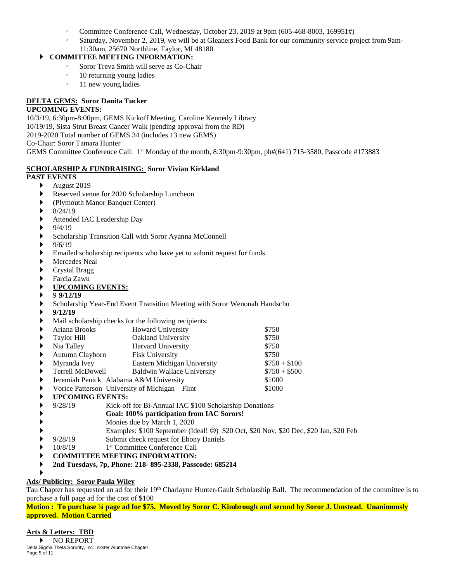- Committee Conference Call, Wednesday, October 23, 2019 at 9pm (605-468-8003, 169951#)
- Saturday, November 2, 2019, we will be at Gleaners Food Bank for our community service project from 9am-11:30am, 25670 Northline, Taylor, MI 48180

### **COMMITTEE MEETING INFORMATION:**

- Soror Treva Smith will serve as Co-Chair
- 10 returning young ladies
- 11 new young ladies

# **DELTA GEMS: Soror Danita Tucker**

### **UPCOMING EVENTS:**

10/3/19, 6:30pm-8:00pm, GEMS Kickoff Meeting, Caroline Kennedy Library 10/19/19, Sista Strut Breast Cancer Walk (pending approval from the RD) 2019-2020 Total number of GEMS 34 (includes 13 new GEMS) Co-Chair: Soror Tamara Hunter GEMS Committee Conference Call: 1<sup>st</sup> Monday of the month, 8:30pm-9:30pm, ph#(641) 715-3580, Passcode #173883

### **SCHOLARSHIP & FUNDRAISING: Soror Vivian Kirkland**

#### **PAST EVENTS**

- August 2019
- Reserved venue for 2020 Scholarship Luncheon
- (Plymouth Manor Banquet Center)
- 8/24/19
- Attended IAC Leadership Day
- 9/4/19
- Scholarship Transition Call with Soror Ayanna McConnell
- 9/6/19
- Emailed scholarship recipients who have yet to submit request for funds
- Mercedes Neal
- Crystal Bragg
- Farcia Zawu

### **UPCOMING EVENTS:**

- 9 **9/12/19**
- Scholarship Year-End Event Transition Meeting with Soror Wenonah Handschu
- **9/12/19**
- Mail scholarship checks for the following recipients:

| ▶                     | Ariana Brooks                                   | <b>Howard University</b>          | \$750         |
|-----------------------|-------------------------------------------------|-----------------------------------|---------------|
| ▶                     | Taylor Hill                                     | Oakland University                | \$750         |
| ▶                     | Nia Talley                                      | Harvard University                | \$750         |
| ▶                     | Autumn Clayborn                                 | Fisk University                   | \$750         |
| $\blacktriangleright$ | Myranda Ivey                                    | Eastern Michigan University       | $$750 + $100$ |
| $\blacktriangleright$ | Terrell McDowell                                | <b>Baldwin Wallace University</b> | $$750 + $500$ |
| ▶                     | Jeremiah Penick Alabama A&M University          | \$1000                            |               |
| ▶                     | Vorice Patterson University of Michigan – Flint | \$1000                            |               |
|                       | <b>IIDCOMING EVENTS.</b>                        |                                   |               |

**UPCOMING EVENTS:**

9/28/19 Kick-off for Bi-Annual IAC \$100 Scholarship Donations

- **Goal: 100% participation from IAC Sorors!**
- Monies due by March 1, 2020
- Examples: \$100 September (Ideal! ☺) \$20 Oct, \$20 Nov, \$20 Dec, \$20 Jan, \$20 Feb
- 9/28/19 Submit check request for Ebony Daniels
- 10/8/19 1 1<sup>st</sup> Committee Conference Call
- **COMMITTEE MEETING INFORMATION:**
- **2nd Tuesdays, 7p, Phone: 218- 895-2338, Passcode: 685214**

#### ▶ **Ads/ Publicity: Soror Paula Wiley**

Tau Chapter has requested an ad for their 19<sup>th</sup> Charlayne Hunter-Gault Scholarship Ball. The recommendation of the committee is to purchase a full page ad for the cost of \$100

Motion: To purchase 1/4 page ad for \$75. Moved by Soror C. Kimbrough and second by Soror J. Umstead. Unanimously **approved. Motion Carried**

## **Arts & Letters: TBD**

Delta Sigma Theta Sorority, Inc. Inkster Alumnae Chapter Page 5 of 11 NO REPORT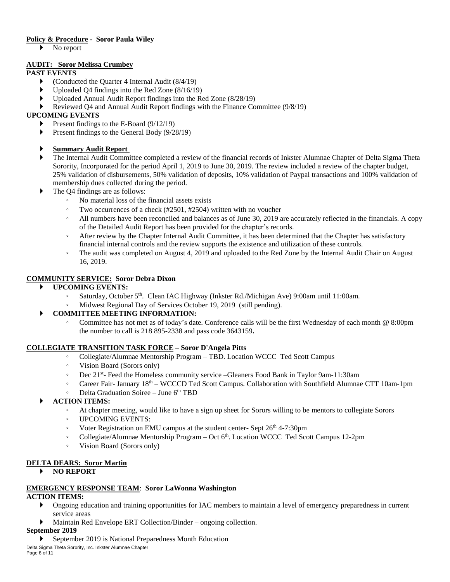### **Policy & Procedure - Soror Paula Wiley**

No report

## **AUDIT: Soror Melissa Crumbey**

## **PAST EVENTS**

- **(**Conducted the Quarter 4 Internal Audit (8/4/19)
- Uploaded Q4 findings into the Red Zone (8/16/19)
- Uploaded Annual Audit Report findings into the Red Zone (8/28/19)
- Reviewed Q4 and Annual Audit Report findings with the Finance Committee (9/8/19)

## **UPCOMING EVENTS**

- Present findings to the E-Board (9/12/19)
- Present findings to the General Body  $(9/28/19)$

## **Summary Audit Report**

- The Internal Audit Committee completed a review of the financial records of Inkster Alumnae Chapter of Delta Sigma Theta Sorority, Incorporated for the period April 1, 2019 to June 30, 2019. The review included a review of the chapter budget, 25% validation of disbursements, 50% validation of deposits, 10% validation of Paypal transactions and 100% validation of membership dues collected during the period.
- The Q4 findings are as follows:
	- No material loss of the financial assets exists
	- Two occurrences of a check (#2501, #2504) written with no voucher
	- All numbers have been reconciled and balances as of June 30, 2019 are accurately reflected in the financials. A copy of the Detailed Audit Report has been provided for the chapter's records.
	- After review by the Chapter Internal Audit Committee, it has been determined that the Chapter has satisfactory financial internal controls and the review supports the existence and utilization of these controls.
	- The audit was completed on August 4, 2019 and uploaded to the Red Zone by the Internal Audit Chair on August 16, 2019.

### **COMMUNITY SERVICE: Soror Debra Dixon**

### **UPCOMING EVENTS:**

- Saturday, October 5 th . Clean IAC Highway (Inkster Rd./Michigan Ave) 9:00am until 11:00am.
- Midwest Regional Day of Services October 19, 2019 (still pending).

### **COMMITTEE MEETING INFORMATION:**

Committee has not met as of today's date. Conference calls will be the first Wednesday of each month @ 8:00pm the number to call is 218 895-2338 and pass code 3643159**.** 

### **COLLEGIATE TRANSITION TASK FORCE – Soror D'Angela Pitts**

- Collegiate/Alumnae Mentorship Program TBD. Location WCCC Ted Scott Campus
- Vision Board (Sorors only)
- Dec 21st Feed the Homeless community service –Gleaners Food Bank in Taylor 9am-11:30am
- Career Fair- January 18th WCCCD Ted Scott Campus. Collaboration with Southfield Alumnae CTT 10am-1pm
- Delta Graduation Soiree June 6 th TBD
- **ACTION ITEMS:**
	- At chapter meeting, would like to have a sign up sheet for Sorors willing to be mentors to collegiate Sorors
	- UPCOMING EVENTS:
	- Voter Registration on EMU campus at the student center- Sept 26th 4-7:30pm
	- Collegiate/Alumnae Mentorship Program Oct 6 th . Location WCCC Ted Scott Campus 12-2pm
	- Vision Board (Sorors only)

### **DELTA DEARS: Soror Martin**

#### **NO REPORT**

#### **EMERGENCY RESPONSE TEAM**: **Soror LaWonna Washington**

#### **ACTION ITEMS:**

- Ongoing education and training opportunities for IAC members to maintain a level of emergency preparedness in current service areas
- Maintain Red Envelope ERT Collection/Binder ongoing collection.

#### **September 2019**

September 2019 is National Preparedness Month Education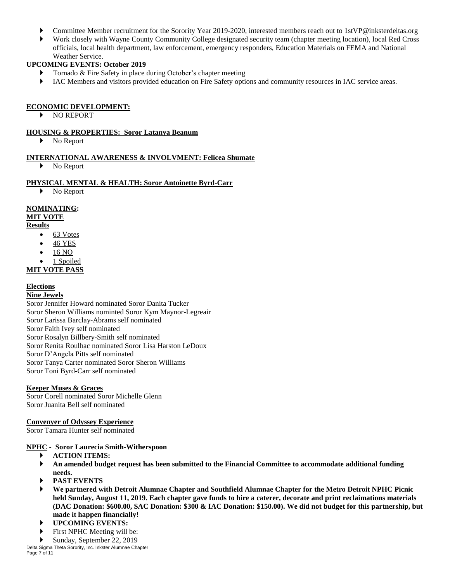- Committee Member recruitment for the Sorority Year 2019-2020, interested members reach out to 1stVP@inksterdeltas.org
- Work closely with Wayne County Community College designated security team (chapter meeting location), local Red Cross officials, local health department, law enforcement, emergency responders, Education Materials on FEMA and National Weather Service.

### **UPCOMING EVENTS: October 2019**

- Tornado & Fire Safety in place during October's chapter meeting
- IAC Members and visitors provided education on Fire Safety options and community resources in IAC service areas.

#### **ECONOMIC DEVELOPMENT:**

NO REPORT

#### **HOUSING & PROPERTIES: Soror Latanya Beanum**

No Report

### **INTERNATIONAL AWARENESS & INVOLVMENT: Felicea Shumate**

No Report

### **PHYSICAL MENTAL & HEALTH: Soror Antoinette Byrd-Carr**

No Report

### **NOMINATING:**

### **MIT VOTE**

#### **Results**

- $\bullet$  63 Votes
- 46 YES
- 16 NO
- 1 Spoiled

## **MIT VOTE PASS**

### **Elections**

#### **Nine Jewels**

Soror Jennifer Howard nominated Soror Danita Tucker Soror Sheron Williams nominted Soror Kym Maynor-Legreair Soror Larissa Barclay-Abrams self nominated Soror Faith Ivey self nominated Soror Rosalyn Billbery-Smith self nominated Soror Renita Roulhac nominated Soror Lisa Harston LeDoux Soror D'Angela Pitts self nominated Soror Tanya Carter nominated Soror Sheron Williams Soror Toni Byrd-Carr self nominated

### **Keeper Muses & Graces**

Soror Corell nominated Soror Michelle Glenn Soror Juanita Bell self nominated

#### **Convenyer of Odyssey Experience**

Soror Tamara Hunter self nominated

#### **NPHC - Soror Laurecia Smith-Witherspoon**

- **ACTION ITEMS:**
- **An amended budget request has been submitted to the Financial Committee to accommodate additional funding needs.**
- **PAST EVENTS**
- **We partnered with Detroit Alumnae Chapter and Southfield Alumnae Chapter for the Metro Detroit NPHC Picnic** held Sunday, August 11, 2019. Each chapter gave funds to hire a caterer, decorate and print reclaimations materials (DAC Donation: \$600.00, SAC Donation: \$300 & IAC Donation: \$150.00). We did not budget for this partnership, but **made it happen financially!**
- **UPCOMING EVENTS:**
- First NPHC Meeting will be:
- Sunday, September 22, 2019

Delta Sigma Theta Sorority, Inc. Inkster Alumnae Chapter Page 7 of 11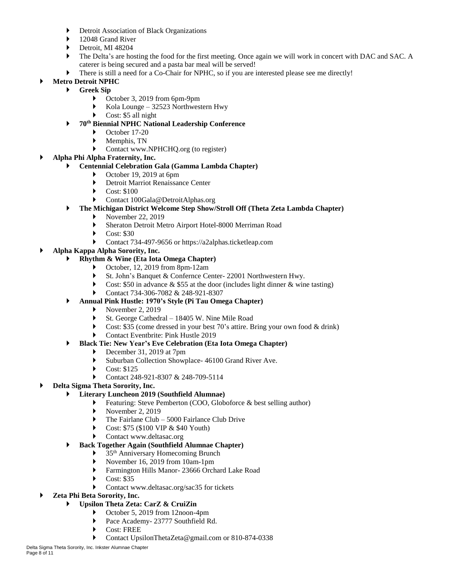- Detroit Association of Black Organizations
- ▶ 12048 Grand River
- Detroit, MI 48204
- ▶ The Delta's are hosting the food for the first meeting. Once again we will work in concert with DAC and SAC. A caterer is being secured and a pasta bar meal will be served!
- There is still a need for a Co-Chair for NPHC, so if you are interested please see me directly!

### **Metro Detroit NPHC**

- **Greek Sip**
	- October 3, 2019 from 6pm-9pm
	- Kola Lounge 32523 Northwestern Hwy
	- Cost: \$5 all night
	- **70th Biennial NPHC National Leadership Conference**
		- October 17-20
		- Memphis, TN
		- Contact www.NPHCHQ.org (to register)

### **Alpha Phi Alpha Fraternity, Inc.**

#### **Centennial Celebration Gala (Gamma Lambda Chapter)**

- October 19, 2019 at 6pm
- Detroit Marriot Renaissance Center
- ▶ Cost: \$100
- Contact 100Gala@DetroitAlphas.org
- **The Michigan District Welcome Step Show/Stroll Off (Theta Zeta Lambda Chapter)**
	- November 22, 2019
	- Sheraton Detroit Metro Airport Hotel-8000 Merriman Road
	- Cost: \$30
	- Contact 734-497-9656 or https://a2alphas.ticketleap.com
- **Alpha Kappa Alpha Sorority, Inc.**
	- **Rhythm & Wine (Eta Iota Omega Chapter)**
		- October, 12, 2019 from 8pm-12am
		- St. John's Banquet & Confernce Center- 22001 Northwestern Hwy.
		- Cost: \$50 in advance  $&$  \$55 at the door (includes light dinner  $&$  wine tasting)
		- Contact 734-306-7082 & 248-921-8307
		- **Annual Pink Hustle: 1970's Style (Pi Tau Omega Chapter)**
			- November 2, 2019
			- St. George Cathedral 18405 W. Nine Mile Road
			- Cost: \$35 (come dressed in your best 70's attire. Bring your own food & drink)
			- Contact Eventbrite: Pink Hustle 2019

### **Black Tie: New Year's Eve Celebration (Eta Iota Omega Chapter)**

- December 31, 2019 at 7pm
- Suburban Collection Showplace- 46100 Grand River Ave.
- $\triangleright$  Cost: \$125
- Contact 248-921-8307 & 248-709-5114

### **Delta Sigma Theta Sorority, Inc.**

#### **Literary Luncheon 2019 (Southfield Alumnae)**

- Featuring: Steve Pemberton (COO, Globoforce & best selling author)
- $\blacktriangleright$  November 2, 2019
- The Fairlane Club 5000 Fairlance Club Drive
- Cost: \$75 (\$100 VIP & \$40 Youth)
- Contact www.deltasac.org

#### **Back Together Again (Southfield Alumnae Chapter)**

- 35th Anniversary Homecoming Brunch
- November 16, 2019 from 10am-1pm
- Farmington Hills Manor- 23666 Orchard Lake Road
- Cost: \$35
- Contact www.deltasac.org/sac35 for tickets
- **Zeta Phi Beta Sorority, Inc.**

### **Upsilon Theta Zeta: CarZ & CruiZin**

- October 5, 2019 from 12noon-4pm
- Pace Academy- 23777 Southfield Rd.
- Cost: FREE
- Contact UpsilonThetaZeta@gmail.com or 810-874-0338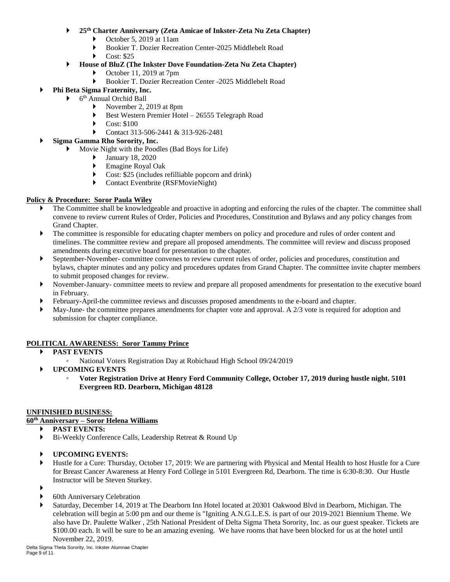- **25th Charter Anniversary (Zeta Amicae of Inkster-Zeta Nu Zeta Chapter)**
	- $\triangleright$  October 5, 2019 at 11am
	- Bookier T. Dozier Recreation Center-2025 Middlebelt Road
	- $\blacktriangleright$  Cost: \$25
- **House of BluZ (The Inkster Dove Foundation-Zeta Nu Zeta Chapter)**
	- October 11, 2019 at 7pm
	- Bookier T. Dozier Recreation Center -2025 Middlebelt Road
- **Phi Beta Sigma Fraternity, Inc.**
	- 6 th Annual Orchid Ball
		- November 2, 2019 at 8pm
		- Best Western Premier Hotel 26555 Telegraph Road
		- $\triangleright$  Cost: \$100
		- Contact 313-506-2441 & 313-926-2481
	- **Sigma Gamma Rho Sorority, Inc.**
		- Movie Night with the Poodles (Bad Boys for Life)
			- January 18, 2020
			- Emagine Royal Oak
			- Cost: \$25 (includes refilliable popcorn and drink)
			- ▶ Contact Eventbrite (RSFMovieNight)

### **Policy & Procedure: Soror Paula Wiley**

- The Committee shall be knowledgeable and proactive in adopting and enforcing the rules of the chapter. The committee shall convene to review current Rules of Order, Policies and Procedures, Constitution and Bylaws and any policy changes from Grand Chapter.
- The committee is responsible for educating chapter members on policy and procedure and rules of order content and timelines. The committee review and prepare all proposed amendments. The committee will review and discuss proposed amendments during executive board for presentation to the chapter.
- September-November- committee convenes to review current rules of order, policies and procedures, constitution and bylaws, chapter minutes and any policy and procedures updates from Grand Chapter. The committee invite chapter members to submit proposed changes for review.
- November-January- committee meets to review and prepare all proposed amendments for presentation to the executive board in February.
- February-April-the committee reviews and discusses proposed amendments to the e-board and chapter.
- May-June- the committee prepares amendments for chapter vote and approval. A 2/3 vote is required for adoption and submission for chapter compliance.

### **POLITICAL AWARENESS: Soror Tammy Prince**

- **PAST EVENTS**
	- National Voters Registration Day at Robichaud High School 09/24/2019
- **UPCOMING EVENTS**
	- **Voter Registration Drive at Henry Ford Community College, October 17, 2019 during hustle night. 5101 Evergreen RD. Dearborn, Michigan 48128**

#### **UNFINISHED BUSINESS:**

#### **60th Anniversary – Soror Helena Williams**

- **PAST EVENTS:**
- Bi-Weekly Conference Calls, Leadership Retreat & Round Up
- **UPCOMING EVENTS:**
- Hustle for a Cure: Thursday, October 17, 2019: We are partnering with Physical and Mental Health to host Hustle for a Cure for Breast Cancer Awareness at Henry Ford College in 5101 Evergreen Rd, Dearborn. The time is 6:30-8:30. Our Hustle Instructor will be Steven Sturkey.
- ▶
	- 60th Anniversary Celebration
- Saturday, December 14, 2019 at The Dearborn Inn Hotel located at 20301 Oakwood Blvd in Dearborn, Michigan. The celebration will begin at 5:00 pm and our theme is "Igniting A.N.G.L.E.S. is part of our 2019-2021 Biennium Theme. We also have Dr. Paulette Walker , 25th National President of Delta Sigma Theta Sorority, Inc. as our guest speaker. Tickets are \$100.00 each. It will be sure to be an amazing evening. We have rooms that have been blocked for us at the hotel until November 22, 2019.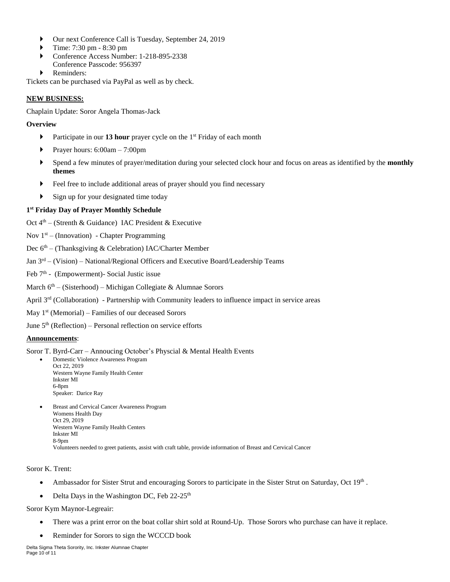- Our next Conference Call is Tuesday, September 24, 2019
- Time: 7:30 pm 8:30 pm
- Conference Access Number: 1-218-895-2338 Conference Passcode: 956397
- Reminders:

Tickets can be purchased via PayPal as well as by check.

#### **NEW BUSINESS:**

Chaplain Update: Soror Angela Thomas-Jack

#### **Overview**

- **Participate in our 13 hour** prayer cycle on the 1<sup>st</sup> Friday of each month
- Prayer hours:  $6:00am 7:00pm$
- Spend a few minutes of prayer/meditation during your selected clock hour and focus on areas as identified by the **monthly themes**
- Feel free to include additional areas of prayer should you find necessary
- Sign up for your designated time today

### **1 st Friday Day of Prayer Monthly Schedule**

Oct 4<sup>th</sup> – (Strenth & Guidance) IAC President & Executive

Nov  $1<sup>st</sup>$  – (Innovation) - Chapter Programming

Dec 6<sup>th</sup> – (Thanksgiving & Celebration) IAC/Charter Member

Jan 3<sup>rd</sup> – (Vision) – National/Regional Officers and Executive Board/Leadership Teams

- Feb 7<sup>th</sup> (Empowerment) Social Justic issue
- March 6<sup>th</sup> (Sisterhood) Michigan Collegiate & Alumnae Sorors
- April 3<sup>rd</sup> (Collaboration) Partnership with Community leaders to influence impact in service areas
- May 1<sup>st</sup> (Memorial) Families of our deceased Sorors

June 5<sup>th</sup> (Reflection) – Personal reflection on service efforts

#### **Announcements**:

#### Soror T. Byrd-Carr – Annoucing October's Physcial & Mental Health Events

- Domestic Violence Awareness Program Oct 22, 2019 Western Wayne Family Health Center Inkster MI 6-8pm Speaker: Darice Ray
- Breast and Cervical Cancer Awareness Program Womens Health Day Oct 29, 2019 Western Wayne Family Health Centers Inkster MI 8-9pm Volunteers needed to greet patients, assist with craft table, provide information of Breast and Cervical Cancer

Soror K. Trent:

- Ambassador for Sister Strut and encouraging Sorors to participate in the Sister Strut on Saturday, Oct  $19<sup>th</sup>$ .
- Delta Days in the Washington DC, Feb  $22-25$ <sup>th</sup>

Soror Kym Maynor-Legreair:

- There was a print error on the boat collar shirt sold at Round-Up. Those Sorors who purchase can have it replace.
- Reminder for Sorors to sign the WCCCD book